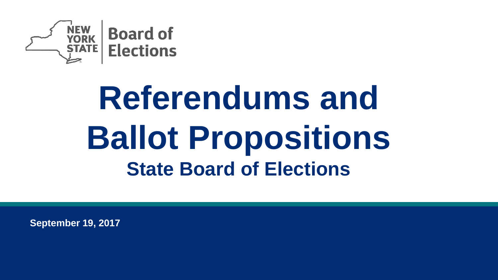

# **Referendums and Ballot Propositions State Board of Elections**

**September 19, 2017**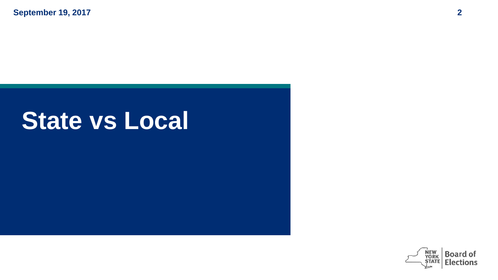## **State vs Local**

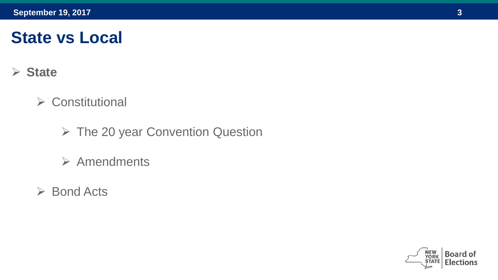#### **State vs Local**

#### **State**

- $\triangleright$  Constitutional
	- The 20 year Convention Question
	- $\triangleright$  Amendments
- **► Bond Acts**

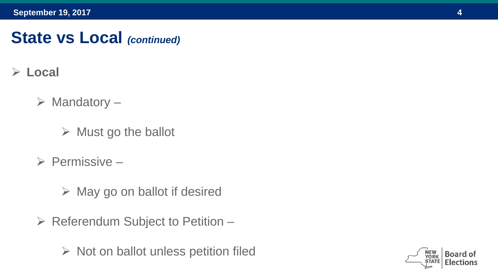#### **State vs Local** *(continued)*

- **Local**
	- $\triangleright$  Mandatory
		- $\triangleright$  Must go the ballot
	- $\triangleright$  Permissive
		- $\triangleright$  May go on ballot if desired
	- $\triangleright$  Referendum Subject to Petition
		- $\triangleright$  Not on ballot unless petition filed

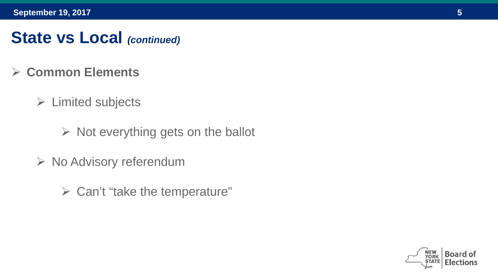#### **State vs Local** *(continued)*

- **Common Elements**
	- $\triangleright$  Limited subjects
		- $\triangleright$  Not everything gets on the ballot
	- $\triangleright$  No Advisory referendum
		- $\triangleright$  Can't "take the temperature"

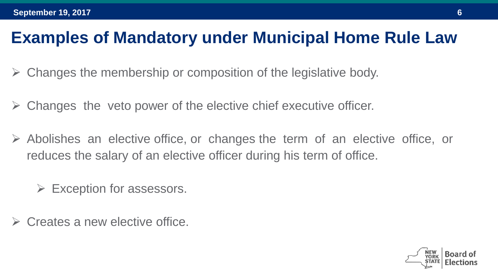## **Examples of Mandatory under Municipal Home Rule Law**

- $\triangleright$  Changes the membership or composition of the legislative body.
- $\triangleright$  Changes the veto power of the elective chief executive officer.
- $\triangleright$  Abolishes an elective office, or changes the term of an elective office, or reduces the salary of an elective officer during his term of office.
	- $\triangleright$  Exception for assessors.
- Creates a new elective office.

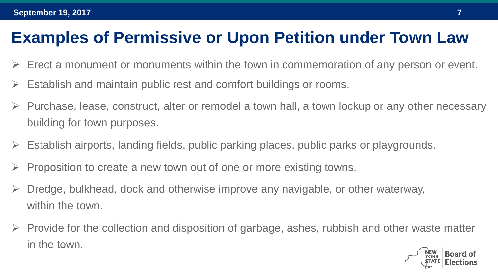### **Examples of Permissive or Upon Petition under Town Law**

- Erect a monument or monuments within the town in commemoration of any person or event.
- $\triangleright$  Establish and maintain public rest and comfort buildings or rooms.
- $\triangleright$  Purchase, lease, construct, alter or remodel a town hall, a town lockup or any other necessary building for town purposes.
- $\triangleright$  Establish airports, landing fields, public parking places, public parks or playgrounds.
- Proposition to create a new town out of one or more existing towns.
- Dredge, bulkhead, dock and otherwise improve any navigable, or other waterway, within the town.
- $\triangleright$  Provide for the collection and disposition of garbage, ashes, rubbish and other waste matter in the town.

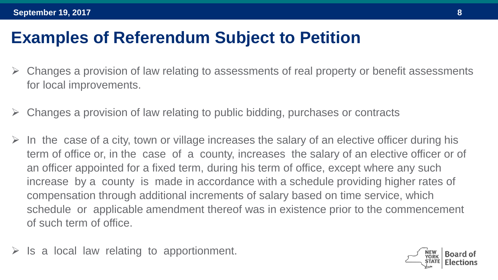#### **Examples of Referendum Subject to Petition**

- Changes a provision of law relating to assessments of real property or benefit assessments for local improvements.
- Changes a provision of law relating to public bidding, purchases or contracts
- $\triangleright$  In the case of a city, town or village increases the salary of an elective officer during his term of office or, in the case of a county, increases the salary of an elective officer or of an officer appointed for a fixed term, during his term of office, except where any such increase by a county is made in accordance with a schedule providing higher rates of compensation through additional increments of salary based on time service, which schedule or applicable amendment thereof was in existence prior to the commencement of such term of office.
- $\triangleright$  Is a local law relating to apportionment.

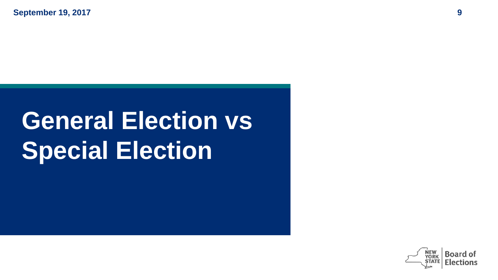# **General Election vs Special Election**

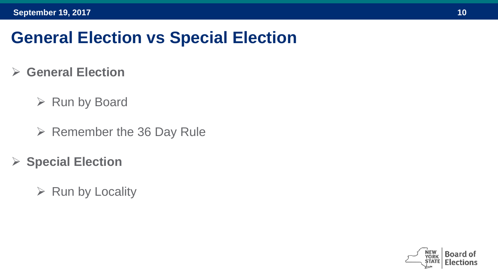#### **General Election vs Special Election**

- **General Election**
	- $\triangleright$  Run by Board
	- $\triangleright$  Remember the 36 Day Rule
- **Special Election**
	- $\triangleright$  Run by Locality

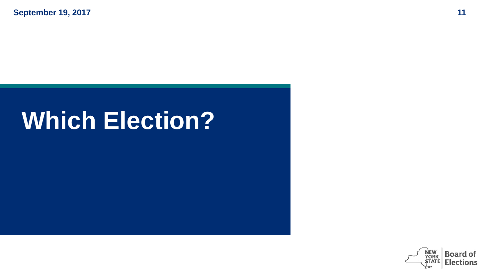# **Which Election?**

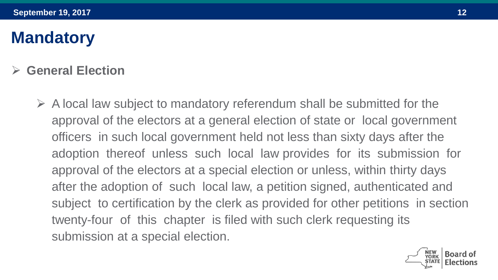## **Mandatory**

#### **General Election**

 $\triangleright$  A local law subject to mandatory referendum shall be submitted for the approval of the electors at a general election of state or local government officers in such local government held not less than sixty days after the adoption thereof unless such local law provides for its submission for approval of the electors at a special election or unless, within thirty days after the adoption of such local law, a petition signed, authenticated and subject to certification by the clerk as provided for other petitions in section twenty-four of this chapter is filed with such clerk requesting its submission at a special election.

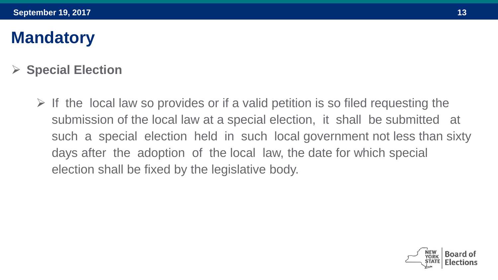## **Mandatory**

#### **Special Election**

 $\triangleright$  If the local law so provides or if a valid petition is so filed requesting the submission of the local law at a special election, it shall be submitted at such a special election held in such local government not less than sixty days after the adoption of the local law, the date for which special election shall be fixed by the legislative body.

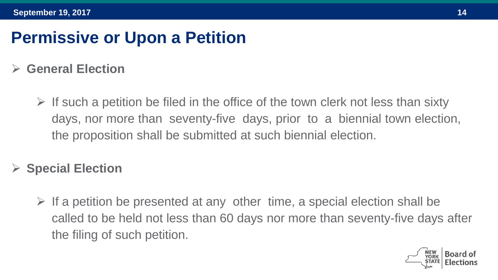### **Permissive or Upon a Petition**

#### **General Election**

 $\triangleright$  If such a petition be filed in the office of the town clerk not less than sixty days, nor more than seventy-five days, prior to a biennial town election, the proposition shall be submitted at such biennial election.

#### **Special Election**

 $\triangleright$  If a petition be presented at any other time, a special election shall be called to be held not less than 60 days nor more than seventy-five days after the filing of such petition.

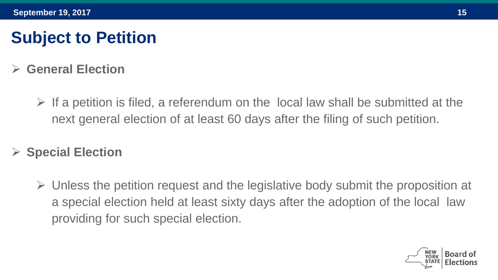## **Subject to Petition**

#### **General Election**

 $\triangleright$  If a petition is filed, a referendum on the local law shall be submitted at the next general election of at least 60 days after the filing of such petition.

#### **Special Election**

 $\triangleright$  Unless the petition request and the legislative body submit the proposition at a special election held at least sixty days after the adoption of the local law providing for such special election.

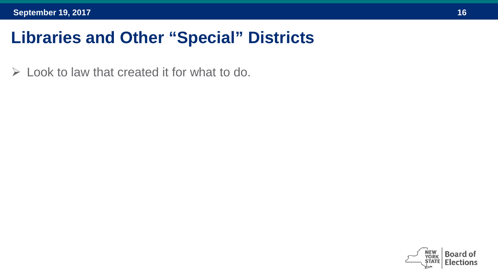#### **Libraries and Other "Special" Districts**

 $\triangleright$  Look to law that created it for what to do.

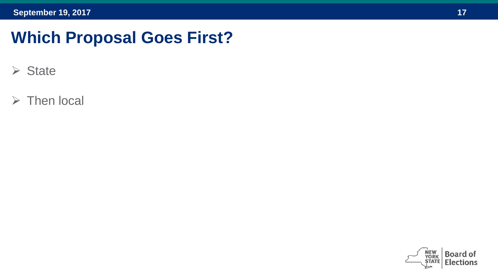#### **Which Proposal Goes First?**

- $\triangleright$  State
- $\triangleright$  Then local

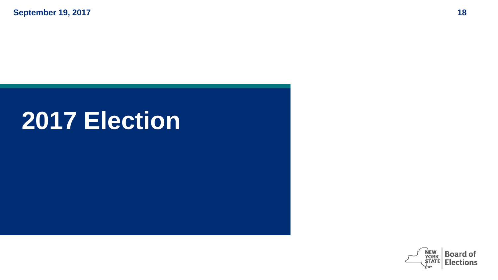# **2017 Election**

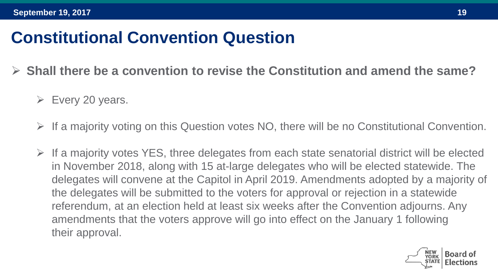## **Constitutional Convention Question**

- **Shall there be a convention to revise the Constitution and amend the same?**
	- $\triangleright$  Every 20 years.
	- $\triangleright$  If a majority voting on this Question votes NO, there will be no Constitutional Convention.
	- $\triangleright$  If a majority votes YES, three delegates from each state senatorial district will be elected in November 2018, along with 15 at-large delegates who will be elected statewide. The delegates will convene at the Capitol in April 2019. Amendments adopted by a majority of the delegates will be submitted to the voters for approval or rejection in a statewide referendum, at an election held at least six weeks after the Convention adjourns. Any amendments that the voters approve will go into effect on the January 1 following their approval.

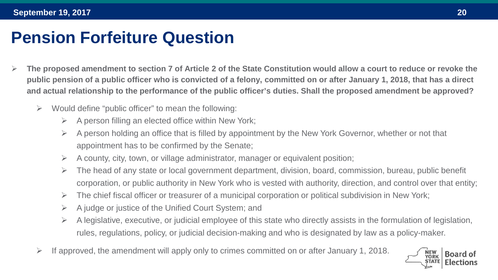#### **Pension Forfeiture Question**

- **The proposed amendment to section 7 of Article 2 of the State Constitution would allow a court to reduce or revoke the public pension of a public officer who is convicted of a felony, committed on or after January 1, 2018, that has a direct and actual relationship to the performance of the public officer's duties. Shall the proposed amendment be approved?**
	- $\triangleright$  Would define "public officer" to mean the following:
		- $\triangleright$  A person filling an elected office within New York;
		- $\triangleright$  A person holding an office that is filled by appointment by the New York Governor, whether or not that appointment has to be confirmed by the Senate;
		- $\triangleright$  A county, city, town, or village administrator, manager or equivalent position;
		- $\triangleright$  The head of any state or local government department, division, board, commission, bureau, public benefit corporation, or public authority in New York who is vested with authority, direction, and control over that entity;
		- $\triangleright$  The chief fiscal officer or treasurer of a municipal corporation or political subdivision in New York;
		- $\triangleright$  A judge or justice of the Unified Court System; and
		- A legislative, executive, or judicial employee of this state who directly assists in the formulation of legislation, rules, regulations, policy, or judicial decision-making and who is designated by law as a policy-maker.
	- $\triangleright$  If approved, the amendment will apply only to crimes committed on or after January 1, 2018.

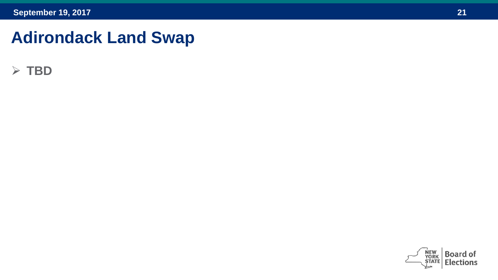#### **Adirondack Land Swap**

**TBD**